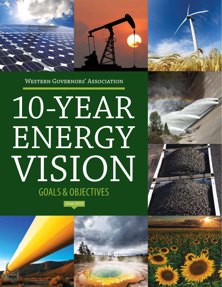

**WESTERN GOVERNORS' ASSOCIATION** 

## 10-YEAR ENERGY VISION June 2013 GOALS & OBJECTIVES

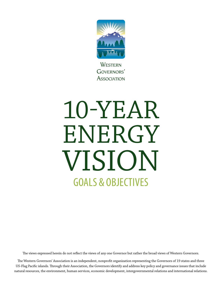

**WESTERN** GOVERNORS' **ASSOCIATION** 

# 10-YEAR ENERGY vision GOALS & OBJECTIVES

The views expressed herein do not reflect the views of any one Governor but rather the broad views of Western Governors.

The Western Governors' Association is an independent, nonprofit organization representing the Governors of 19 states and three US-Flag Pacific islands. Through their Association, the Governors identify and address key policy and governance issues that include natural resources, the environment, human services, economic development, intergovernmental relations and international relations.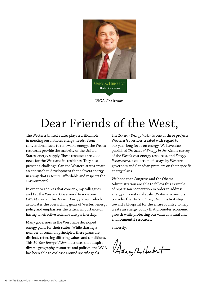

WGA Chairman

## Dear Friends of the West,

The Western United States plays a critical role in meeting our nation's energy needs. From conventional fuels to renewable energy, the West's resources provide the majority of the United States' energy supply. These resources are good news for the West and its residents. They also present a challenge: Can the Western states create an approach to development that delivers energy in a way that is secure, affordable and respects the environment?

In order to address that concern, my colleagues and I at the Western Governors' Association (WGA) created this *10-Year Energy Vision*, which articulates the overarching goals of Western energy policy and emphasizes the critical importance of having an effective federal-state partnership.

Many governors in the West have developed energy plans for their states. While sharing a number of common principles, these plans are distinct, reflecting differing values and conditions. This *10-Year Energy Vision* illustrates that despite diverse geography, resources and politics, the WGA has been able to coalesce around specific goals.

The *10-Year Energy Vision* is one of three projects Western Governors created with regard to our year-long focus on energy. We have also published *The State of Energy in the West*, a survey of the West's vast energy resources, and *Energy Perspectives*, a collection of essays by Western governors and Canadian premiers on their specific energy plans.

We hope that Congress and the Obama Administration are able to follow this example of bipartisan cooperation in order to address energy on a national scale. Western Governors consider the *10-Year Energy Vision* a first step toward a blueprint for the entire country to help create an energy policy that promotes economic growth while protecting our valued natural and environmental resources.

Sincerely,

Harg R. Hubert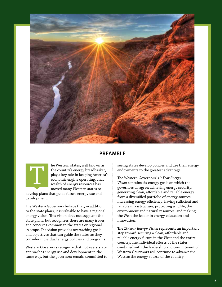

#### **preamble**



he Western states, well known as the country's energy breadbasket, play a key role in keeping America's economic engine operating. That wealth of energy resources has moved many Western states to

develop plans that guide future energy use and development.

The Western Governors believe that, in addition to the state plans, it is valuable to have a regional energy vision. This vision does not supplant the state plans, but recognizes there are many issues and concerns common to the states or regional in scope. The vision provides overarching goals and objectives that can guide the states as they consider individual energy policies and programs.

Western Governors recognize that not every state approaches energy use and development in the same way, but the governors remain committed to seeing states develop policies and use their energy endowments to the greatest advantage.

The Western Governors' *10-Year Energy Vision* contains six energy goals on which the governors all agree: achieving energy security; generating clean, affordable and reliable energy from a diversified portfolio of energy sources; increasing energy efficiency; having sufficient and reliable infrastructure; protecting wildlife, the environment and natural resources, and making the West the leader in energy education and innovation.

The *10-Year Energy Vision* represents an important step toward securing a clean, affordable and reliable energy future in the West and the entire country. The individual efforts of the states combined with the leadership and commitment of Western Governors will continue to advance the West as the energy source of the country.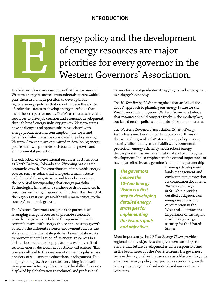### **introduction**

## nergy policy and the development of energy resources are major priorities for every governor in the Western Governors' Association.

The Western Governors recognize that the vastness of Western energy resources, from minerals to renewables, puts them in a unique position to develop broad, regional energy policies that do not impede the ability of individual states to develop energy portfolios that meet their respective needs. The Western states have the resources to drive job creation and economic development through broad energy industry growth. Western states have challenges and opportunities associated with energy production and consumption, the costs and benefits of which must be considered in policymaking. Western Governors are committed to developing energy policies that will promote both economic growth and environmental protection.

The extraction of conventional resources in states such as North Dakota, Colorado and Wyoming has created economic growth. The contribution of renewable energy sources such as solar, wind and geothermal in states including California, Arizona and Nevada has shown the potential for expanding that energy portfolio. Technological innovations continue to drive advances in resources such as hydropower and nuclear. It is clear that the region's vast energy wealth will remain critical to the country's economic growth.

The Western Governors recognize the potential of leveraging energy resources to promote economic growth. The governors believe the approach must be comprehensive, with energy choice and industry growth based on the different resource endowments across the states and individual state policies. As each state works to promote the utilization of its energy resources in a fashion best suited to its population, a well-diversified regional energy development portfolio will emerge. This process will lead to the creation of numerous jobs across a variety of skill sets and educational backgrounds. This employment growth will create everything from wellpaying manufacturing jobs suited to the skills of workers displaced by globalization to technical and professional

careers for recent graduates struggling to find employment in a sluggish economy.

The *10-Year Energy Vision* recognizes that an "all-of-theabove" approach to planning our energy future for the West is most advantageous. Western Governors believe that resources should compete freely in the marketplace, but based on the policies and needs of its member states.

The Western Governors' Association *10-Year Energy Vision* has a number of important purposes. It lays out the overarching goals of Western energy policy: energy security, affordability and reliability, environmental protection, energy efficiency, and a robust energy delivery system, as well as educational and technological development. It also emphasizes the critical importance of having an effective and genuine federal-state partnership

*The governors believe the 10-Year Energy Vision is a first step to developing detailed energy strategies for implementing the Vision's goals and objectives.*

in energy development, lands management and environmental protection. Its companion document, *The State of Energy in the West*, provides detailed background on energy resources and consumption in the West and illustrates the importance of the region in achieving energy security for the United States.

Most importantly, the *10-Year Energy Vision* provides regional energy objectives the governors can adopt to ensure that future development is done responsibly and in the best interest of the West's citizens. The governors believe this regional vision can serve as a blueprint to guide a national energy policy that promotes economic growth while protecting our valued natural and environmental resources.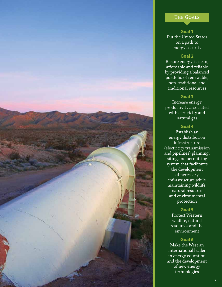#### The Goals

### **Goal 1**

Put the United States on a path to energy security

#### **Goal 2**

Ensure energy is clean, affordable and reliable by providing a balanced portfolio of renewable, non-traditional and traditional resources

#### **Goal 3**

Increase energy productivity associated with electricity and natural gas

#### **Goal 4**

Establish an energy distribution infrastructure (electricity transmission and pipelines) planning, siting and permitting system that facilitates the development of necessary infrastructure while maintaining wildlife, natural resource and environmental protection

#### **Goal 5**

Protect Western wildlife, natural resources and the environment

#### **Goal 6**

Make the West an international leader in energy education and the development of new energy technologies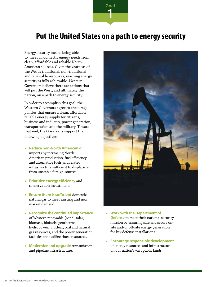### **Put the United States on a path to energy security**

**Goal**

**1**

Energy security means being able to meet all domestic energy needs from clean, affordable and reliable North American sources. Given the vastness of the West's traditional, non-traditional and renewable resources, reaching energy security is fully achievable. Western Governors believe there are actions that will put the West, and ultimately the nation, on a path to energy security.

In order to accomplish this goal, the Western Governors agree to encourage policies that ensure a clean, affordable, reliable energy supply for citizens, business and industry, power generation, transportation and the military. Toward that end, the Governors support the following objectives:

- **• Reduce non-North American oil**  imports by increasing North American production, fuel efficiency, and alternative fuels and related infrastructure sufficient to displace oil from unstable foreign sources.
- **• Prioritize energy efficiency** and conservation investments.
- **• Ensure there is sufficient** domestic natural gas to meet existing and new market demand.
- **• Recognize the continued importance** of Western renewable (wind, solar, biomass, biofuels, geothermal, hydropower), nuclear, coal and natural gas resources, and the power generation facilities that utilize those resources.
- **• Modernize and upgrade** transmission and pipeline infrastructure.



- **• Work with the Department of Defense** to meet their national security mission by ensuring safe and secure onsite and/or off-site energy generation for key defense installations.
- **• Encourage responsible development** of energy resources and infrastructure on our nation's vast public lands.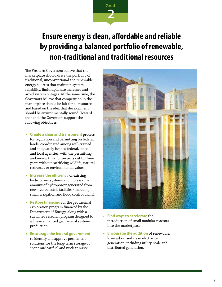## **Ensure energy is clean, affordable and reliable by providing a balanced portfolio of renewable, non-traditional and traditional resources**

**Goal**

**2**

The Western Governors believe that the marketplace should drive the portfolio of traditional, unconventional and renewable energy sources that maintain system reliability, limit rapid rate increases and avoid system outages. At the same time, the Governors believe that competition in the marketplace should be fair for all resources and based on the idea that development should be environmentally sound. Toward that end, the Governors support the following objectives:

- **• Create a clear and transparent** process for regulation and permitting on federal lands, coordinated among well-trained and adequately funded federal, state and local agencies, with the permitting and review time for projects cut to three years without sacrificing wildlife, natural resources or environmental values.
- **• Increase the efficiency** of existing hydropower systems and increase the amount of hydropower generated from new hydroelectric facilities (including small, irrigation and flood control dams).
- **• Restore financing** for the geothermal exploration program financed by the Department of Energy, along with a sustained research program designed to achieve enhanced geothermal systems production.
- **• Encourage the federal government**  to identify and approve permanent solutions for the long-term storage of spent nuclear fuel and nuclear waste.



- **• Find ways to accelerate** the introduction of small modular reactors into the marketplace.
- **• Encourage the addition** of renewable, low-carbon and clean electricity generation, including utility-scale and distributed generation.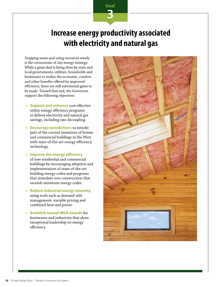## **Increase energy productivity associated with electricity and natural gas**

**Goal**

**3**

Stopping waste and using resources wisely is the cornerstone of any energy strategy. While a great deal is being done by state and local governments, utilities, households and businesses to realize the economic, comfort and other benefits offered by improved efficiency, there are still substantial gains to be made. Toward that end, the Governors support the following objectives:

- **• Support and enhance** cost-effective utility energy efficiency programs to deliver electricity and natural gas savings, including rate decoupling.
- **• Encourage jurisdictions** to retrofit part of the current inventory of homes and commercial buildings in the West with state-of-the-art energy efficiency technology.
- **• Improve the energy efficiency** of new residential and commercial buildings by encouraging adoption and implementation of state-of-the-art building energy codes and programs that stimulate new construction that exceeds minimum energy codes.
- **• Reduce industrial energy intensity**  using tools such as demand-side management, variable pricing and combined heat and power.
- **• Establish annual WGA awards** for businesses and industries that show exceptional leadership on energy efficiency.

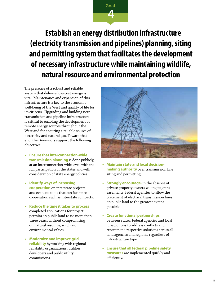**Establish an energy distribution infrastructure (electricity transmission and pipelines) planning, siting and permitting system that facilitates the development of necessary infrastructure while maintaining wildlife, natural resource and environmental protection**

**Goal**

**4**

The presence of a robust and reliable system that delivers low-cost energy is vital. Maintenance and expansion of this infrastructure is a key to the economic well-being of the West and quality of life for its citizens. Upgrading and building new transmission and pipeline infrastructure is critical to enabling the development of remote energy sources throughout the West and for ensuring a reliable source of electricity and natural gas. Toward that end, the Governors support the following objectives:

- **• Ensure that interconnection-wide transmission planning** is done publicly, at an interconnection-wide level, with the full participation of the states and with consideration of state energy policies.
- **• Identify ways of increasing cooperation** on interstate projects and evaluate tools that can facilitate cooperation such as interstate compacts.
- **• Reduce the time it takes to process**  completed applications for project permits on public land to no more than three years, without compromising on natural resource, wildlife or environmental values.
- **• Modernize and improve grid reliability** by working with regional reliability organizations, utilities, developers and public utility commissions.



- **• Maintain state and local decisionmaking authority** over transmission line siting and permitting.
- **• Strongly encourage,** in the absence of private property owners willing to grant easements, federal agencies to allow the placement of electrical transmission lines on public land to the greatest extent possible.
- **• Create functional partnerships**

between states, federal agencies and local jurisdictions to address conflicts and recommend respective solutions across all land agencies and regions, regardless of infrastructure type.

**• Ensure that all federal pipeline safety measures** are implemented quickly and efficiently.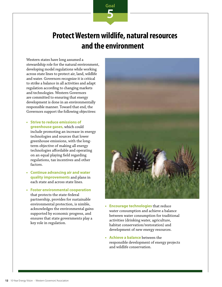## **Protect Western wildlife, natural resources and the environment**

**Goal**

**5**

Western states have long assumed a stewardship role for the natural environment, developing model regulations while working across state lines to protect air, land, wildlife and water. Governors recognize it is critical to strike a balance in all activities and adapt regulation according to changing markets and technologies. Western Governors are committed to ensuring that energy development is done in an environmentally responsible manner. Toward that end, the Governors support the following objectives:

- **• Strive to reduce emissions of greenhouse gases,** which could include promoting an increase in energy technologies and sources that lower greenhouse emissions, with the longterm objective of making all energy technologies affordable and operating on an equal playing field regarding regulations, tax incentives and other factors.
- **• Continue advancing air and water quality improvements** and plans in each state and across state lines.
- **• Foster environmental cooperation** that protects the state-federal partnership, provides for sustainable environmental protection, is nimble, acknowledges the environmental gains supported by economic progress, and ensures that state governments play a key role in regulation.



- **• Encourage technologies** that reduce water consumption and achieve a balance between water consumption for traditional activities (drinking water, agriculture, habitat conservation/restoration) and development of new energy resources.
- **• Achieve a balance** between the responsible development of energy projects and wildlife conservation.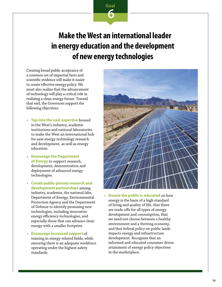

## **Make the West an international leader in energy education and the development of new energy technologies**

Creating broad public acceptance of a common set of impartial facts and scientific evidence will make it easier to create effective energy policy. We must also realize that the advancement of technology will play a critical role in realizing a clean energy future. Toward that end, the Governors support the following objectives:

- **• Tap into the vast expertise** housed in the West's industry, academic institutions and national laboratories to make the West an international hub for new energy technology research and development, as well as energy education.
- **• Encourage the Department of Energy** to support research, development, demonstration and deployment of advanced energy technologies.
- **• Create public-private research and development partnerships** among industry, academia, the national labs, Department of Energy, Environmental Protection Agency and the Department of Defense to identify promising new technologies, including innovative energy efficiency technologies, and especially those that can advance clean energy with a smaller footprint.
- **• Encourage increased support** of training in energy-related fields, while ensuring there is an adequate workforce operating under the highest safety standards.



**• Ensure the public is educated** on how energy is the basis of a high standard of living and quality of life, that there are trade-offs for all types of energy development and consumption, that we need not choose between a healthy environment and a thriving economy, and that federal policy on public lands impacts energy and infrastructure development. Recognize that an informed and educated consumer drives attainment of energy policy objectives in the marketplace.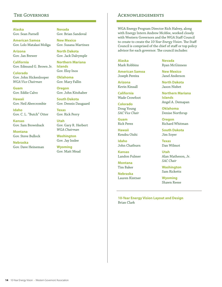#### The Governors

**Alaska** Gov. Sean Parnell

**American Samoa**  Gov. Lolo Matalasi Moliga

**Arizona**  Gov. Jan Brewer

**California** Gov. Edmund G. Brown Jr.

**Colorado**  Gov. John Hickenlooper *WGA Vice Chairman*

**Guam** Gov. Eddie Calvo

**Hawaii**  Gov. Neil Abercrombie

**Idaho** Gov. C. L. "Butch" Otter

**Kansas**  Gov. Sam Brownback

**Montana**  Gov. Steve Bullock

**Nebraska**  Gov. Dave Heineman **Nevada**  Gov. Brian Sandoval

**New Mexico**  Gov. Susana Martinez

**North Dakota**  Gov. Jack Dalrymple

**Northern Mariana Islands**  Gov. Eloy Inos

**Oklahoma**  Gov. Mary Fallin

**Oregon**  Gov. John Kitzhaber

**South Dakota**  Gov. Dennis Daugaard

**Texas** Gov. Rick Perry

**Utah**  Gov. Gary R. Herbert *WGA Chairman*

**Washington**  Gov. Jay Inslee

**Wyoming**  Gov. Matt Mead

#### Acknowledgements

WGA Energy Program Director Rich Halvey, along with Energy Intern Andrew McAfee, worked closely with Western Governors and the WGA Staff Council to create to create the *10-Year Energy Vision*. The Staff Council is comprised of the chief of staff or top policy advisor for each governor. The council includes:

**Alaska**  Mark Robbins

**American Samoa**  Joseph Pereira

**Arizona** Kevin Kinsall

**California** Wade Crowfoot

**Colorado** Doug Young *SAC Vice Chair*

**Guam** Rick Perez

**Hawaii**  Kendra Oishi

**Idaho** John Chatburn

**Kansas** Landon Fulmer

**Montana**  Tim Baker

**Nebraska**  Lauren Kintner **Nevada** Ryan McGinness

**New Mexico** Janel Anderson

**North Dakota** Jason Nisbet

**Northern Mariana Islands**  Angel A. Demapan

**Oklahoma**  Denise Northrup

**Oregon** Richard Whitman

**South Dakota** Jim Soyer

**Texas** Dan Wilmot

**Utah** Alan Matheson, Jr. *SAC Chair*

**Washington**  Sam Ricketts

**Wyoming**  Shawn Reese

**10-Year Energy Vision Layout and Design**  Brian Clark